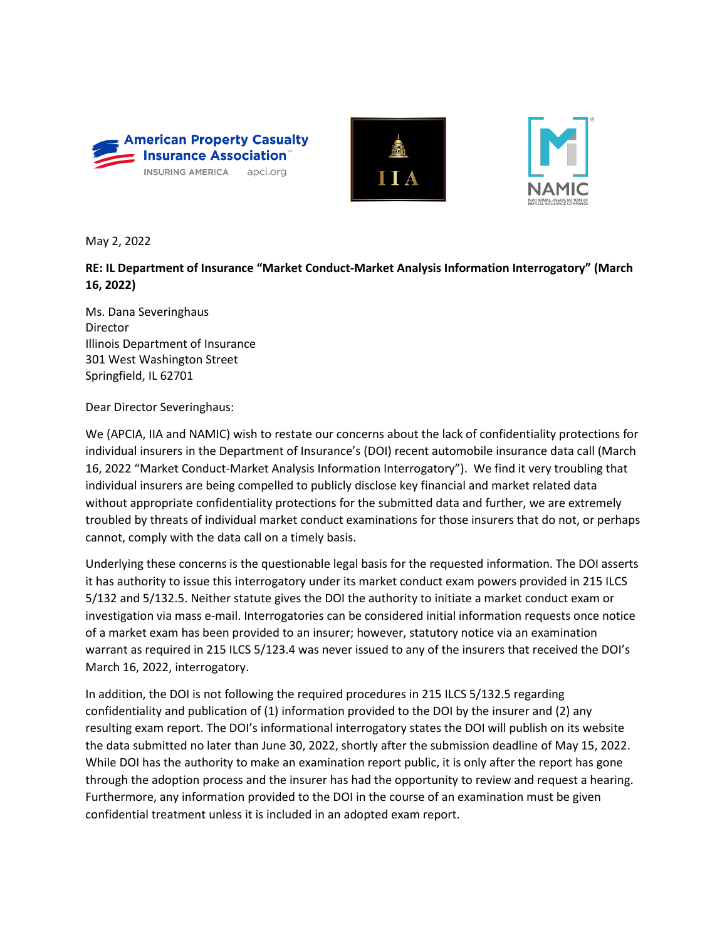





May 2, 2022

**RE: IL Department of Insurance "Market Conduct-Market Analysis Information Interrogatory" (March 16, 2022)**

Ms. Dana Severinghaus Director Illinois Department of Insurance 301 West Washington Street Springfield, IL 62701

Dear Director Severinghaus:

We (APCIA, IIA and NAMIC) wish to restate our concerns about the lack of confidentiality protections for individual insurers in the Department of Insurance's (DOI) recent automobile insurance data call (March 16, 2022 "Market Conduct-Market Analysis Information Interrogatory"). We find it very troubling that individual insurers are being compelled to publicly disclose key financial and market related data without appropriate confidentiality protections for the submitted data and further, we are extremely troubled by threats of individual market conduct examinations for those insurers that do not, or perhaps cannot, comply with the data call on a timely basis.

Underlying these concerns is the questionable legal basis for the requested information. The DOI asserts it has authority to issue this interrogatory under its market conduct exam powers provided in 215 ILCS 5/132 and 5/132.5. Neither statute gives the DOI the authority to initiate a market conduct exam or investigation via mass e-mail. Interrogatories can be considered initial information requests once notice of a market exam has been provided to an insurer; however, statutory notice via an examination warrant as required in 215 ILCS 5/123.4 was never issued to any of the insurers that received the DOI's March 16, 2022, interrogatory.

In addition, the DOI is not following the required procedures in 215 ILCS 5/132.5 regarding confidentiality and publication of (1) information provided to the DOI by the insurer and (2) any resulting exam report. The DOI's informational interrogatory states the DOI will publish on its website the data submitted no later than June 30, 2022, shortly after the submission deadline of May 15, 2022. While DOI has the authority to make an examination report public, it is only after the report has gone through the adoption process and the insurer has had the opportunity to review and request a hearing. Furthermore, any information provided to the DOI in the course of an examination must be given confidential treatment unless it is included in an adopted exam report.